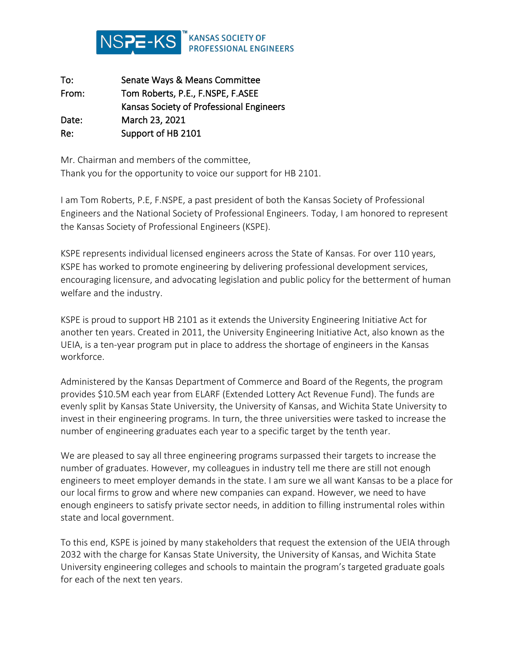

| To:   | Senate Ways & Means Committee            |
|-------|------------------------------------------|
| From: | Tom Roberts, P.E., F.NSPE, F.ASEE        |
|       | Kansas Society of Professional Engineers |
| Date: | March 23, 2021                           |
| Re:   | Support of HB 2101                       |

Mr. Chairman and members of the committee, Thank you for the opportunity to voice our support for HB 2101.

I am Tom Roberts, P.E, F.NSPE, a past president of both the Kansas Society of Professional Engineers and the National Society of Professional Engineers. Today, I am honored to represent the Kansas Society of Professional Engineers (KSPE).

KSPE represents individual licensed engineers across the State of Kansas. For over 110 years, KSPE has worked to promote engineering by delivering professional development services, encouraging licensure, and advocating legislation and public policy for the betterment of human welfare and the industry.

KSPE is proud to support HB 2101 as it extends the University Engineering Initiative Act for another ten years. Created in 2011, the University Engineering Initiative Act, also known as the UEIA, is a ten-year program put in place to address the shortage of engineers in the Kansas workforce.

Administered by the Kansas Department of Commerce and Board of the Regents, the program provides \$10.5M each year from ELARF (Extended Lottery Act Revenue Fund). The funds are evenly split by Kansas State University, the University of Kansas, and Wichita State University to invest in their engineering programs. In turn, the three universities were tasked to increase the number of engineering graduates each year to a specific target by the tenth year.

We are pleased to say all three engineering programs surpassed their targets to increase the number of graduates. However, my colleagues in industry tell me there are still not enough engineers to meet employer demands in the state. I am sure we all want Kansas to be a place for our local firms to grow and where new companies can expand. However, we need to have enough engineers to satisfy private sector needs, in addition to filling instrumental roles within state and local government.

To this end, KSPE is joined by many stakeholders that request the extension of the UEIA through 2032 with the charge for Kansas State University, the University of Kansas, and Wichita State University engineering colleges and schools to maintain the program's targeted graduate goals for each of the next ten years.